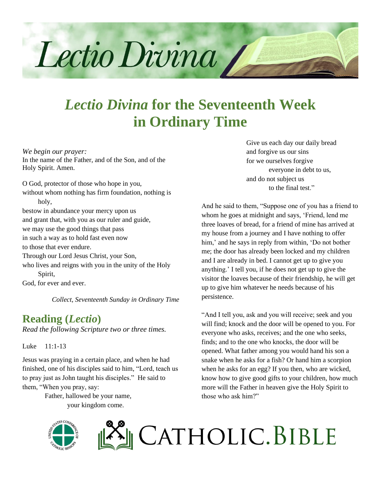

# *Lectio Divina* **for the Seventeenth Week in Ordinary Time**

*We begin our prayer:* In the name of the Father, and of the Son, and of the Holy Spirit. Amen.

O God, protector of those who hope in you, without whom nothing has firm foundation, nothing is holy, bestow in abundance your mercy upon us and grant that, with you as our ruler and guide, we may use the good things that pass in such a way as to hold fast even now to those that ever endure. Through our Lord Jesus Christ, your Son, who lives and reigns with you in the unity of the Holy Spirit, God, for ever and ever.

*Collect, Seventeenth Sunday in Ordinary Time*

#### **Reading (***Lectio***)**

*Read the following Scripture two or three times.*

Luke 11:1-13

Jesus was praying in a certain place, and when he had finished, one of his disciples said to him, "Lord, teach us to pray just as John taught his disciples." He said to them, "When you pray, say:

> Father, hallowed be your name, your kingdom come.

Give us each day our daily bread and forgive us our sins for we ourselves forgive everyone in debt to us, and do not subject us to the final test."

And he said to them, "Suppose one of you has a friend to whom he goes at midnight and says, 'Friend, lend me three loaves of bread, for a friend of mine has arrived at my house from a journey and I have nothing to offer him,' and he says in reply from within, 'Do not bother me; the door has already been locked and my children and I are already in bed. I cannot get up to give you anything.' I tell you, if he does not get up to give the visitor the loaves because of their friendship, he will get up to give him whatever he needs because of his persistence.

"And I tell you, ask and you will receive; seek and you will find; knock and the door will be opened to you. For everyone who asks, receives; and the one who seeks, finds; and to the one who knocks, the door will be opened. What father among you would hand his son a snake when he asks for a fish? Or hand him a scorpion when he asks for an egg? If you then, who are wicked, know how to give good gifts to your children, how much more will the Father in heaven give the Holy Spirit to those who ask him?"